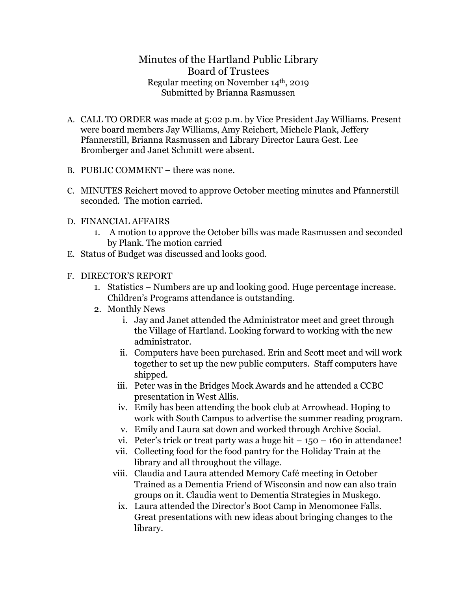## Minutes of the Hartland Public Library Board of Trustees Regular meeting on November 14th, 2019 Submitted by Brianna Rasmussen

- A. CALL TO ORDER was made at 5:02 p.m. by Vice President Jay Williams. Present were board members Jay Williams, Amy Reichert, Michele Plank, Jeffery Pfannerstill, Brianna Rasmussen and Library Director Laura Gest. Lee Bromberger and Janet Schmitt were absent.
- B. PUBLIC COMMENT there was none.
- C. MINUTES Reichert moved to approve October meeting minutes and Pfannerstill seconded. The motion carried.
- D. FINANCIAL AFFAIRS
	- 1. A motion to approve the October bills was made Rasmussen and seconded by Plank. The motion carried
- E. Status of Budget was discussed and looks good.
- F. DIRECTOR'S REPORT
	- 1. Statistics Numbers are up and looking good. Huge percentage increase. Children's Programs attendance is outstanding.
	- 2. Monthly News
		- i. Jay and Janet attended the Administrator meet and greet through the Village of Hartland. Looking forward to working with the new administrator.
		- ii. Computers have been purchased. Erin and Scott meet and will work together to set up the new public computers. Staff computers have shipped.
		- iii. Peter was in the Bridges Mock Awards and he attended a CCBC presentation in West Allis.
		- iv. Emily has been attending the book club at Arrowhead. Hoping to work with South Campus to advertise the summer reading program.
		- v. Emily and Laura sat down and worked through Archive Social.
		- vi. Peter's trick or treat party was a huge hit  $-150 160$  in attendance!
		- vii. Collecting food for the food pantry for the Holiday Train at the library and all throughout the village.
		- viii. Claudia and Laura attended Memory Café meeting in October Trained as a Dementia Friend of Wisconsin and now can also train groups on it. Claudia went to Dementia Strategies in Muskego.
		- ix. Laura attended the Director's Boot Camp in Menomonee Falls. Great presentations with new ideas about bringing changes to the library.